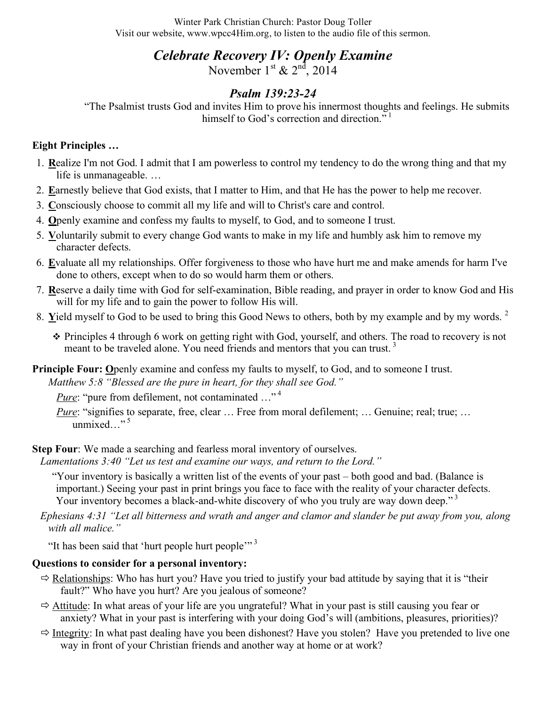Winter Park Christian Church: Pastor Doug Toller Visit our website, www.wpcc4Him.org, to listen to the audio file of this sermon.

# *Celebrate Recovery IV: Openly Examine*

November  $1<sup>st</sup>$  &  $2<sup>nd</sup>$ , 2014

# *Psalm 139:23-24*

"The Psalmist trusts God and invites Him to prove his innermost thoughts and feelings. He submits himself to God's correction and direction."<sup>1</sup>

## **Eight Principles …**

- 1. **R**ealize I'm not God. I admit that I am powerless to control my tendency to do the wrong thing and that my life is unmanageable. …
- 2. **E**arnestly believe that God exists, that I matter to Him, and that He has the power to help me recover.
- 3. **C**onsciously choose to commit all my life and will to Christ's care and control.
- 4. **O**penly examine and confess my faults to myself, to God, and to someone I trust.
- 5. **V**oluntarily submit to every change God wants to make in my life and humbly ask him to remove my character defects.
- 6. **E**valuate all my relationships. Offer forgiveness to those who have hurt me and make amends for harm I've done to others, except when to do so would harm them or others.
- 7. **R**eserve a daily time with God for self-examination, Bible reading, and prayer in order to know God and His will for my life and to gain the power to follow His will.
- 8. **Y**ield myself to God to be used to bring this Good News to others, both by my example and by my words. <sup>2</sup>
	- Principles 4 through 6 work on getting right with God, yourself, and others. The road to recovery is not meant to be traveled alone. You need friends and mentors that you can trust.<sup>3</sup>
- **Principle Four: Openly examine and confess my faults to myself, to God, and to someone I trust.**

*Matthew 5:8 "Blessed are the pure in heart, for they shall see God."*

*Pure*: "pure from defilement, not contaminated ..."<sup>4</sup>

*Pure*: "signifies to separate, free, clear ... Free from moral defilement; ... Genuine; real; true; ... unmixed..."<sup>5</sup>

**Step Four**: We made a searching and fearless moral inventory of ourselves.

*Lamentations 3:40 "Let us test and examine our ways, and return to the Lord."*

"Your inventory is basically a written list of the events of your past – both good and bad. (Balance is important.) Seeing your past in print brings you face to face with the reality of your character defects. Your inventory becomes a black-and-white discovery of who you truly are way down deep."<sup>3</sup>

*Ephesians 4:31 "Let all bitterness and wrath and anger and clamor and slander be put away from you, along with all malice."*

"It has been said that 'hurt people hurt people'"<sup>3</sup>

# **Questions to consider for a personal inventory:**

- $\Rightarrow$  Relationships: Who has hurt you? Have you tried to justify your bad attitude by saying that it is "their" fault?" Who have you hurt? Are you jealous of someone?
- $\Rightarrow$  Attitude: In what areas of your life are you ungrateful? What in your past is still causing you fear or anxiety? What in your past is interfering with your doing God's will (ambitions, pleasures, priorities)?
- $\Rightarrow$  Integrity: In what past dealing have you been dishonest? Have you stolen? Have you pretended to live one way in front of your Christian friends and another way at home or at work?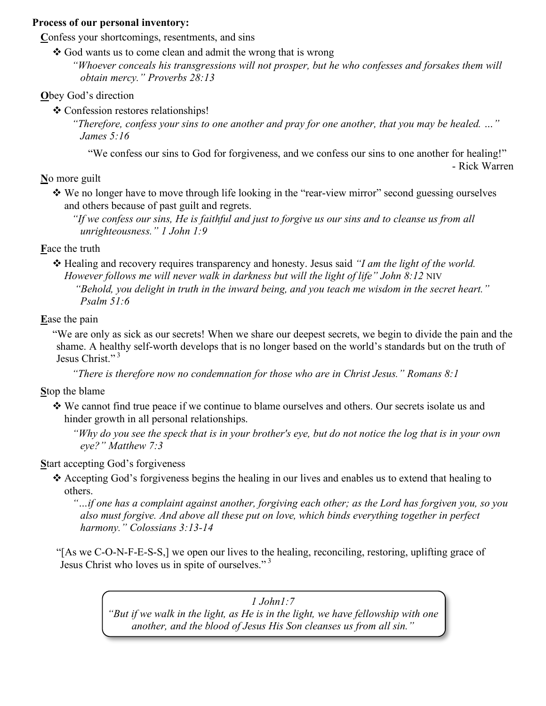#### **Process of our personal inventory:**

Confess your shortcomings, resentments, and sins

- $\triangle$  God wants us to come clean and admit the wrong that is wrong
	- *"Whoever conceals his transgressions will not prosper, but he who confesses and forsakes them will obtain mercy." Proverbs 28:13*

## **O**bey God's direction

**❖** Confession restores relationships!

*"Therefore, confess your sins to one another and pray for one another, that you may be healed. …" James 5:16*

"We confess our sins to God for forgiveness, and we confess our sins to one another for healing!"

- Rick Warren

**N**o more guilt

 We no longer have to move through life looking in the "rear-view mirror" second guessing ourselves and others because of past guilt and regrets.

*"If we confess our sins, He is faithful and just to forgive us our sins and to cleanse us from all unrighteousness." 1 John 1:9*

**F**ace the truth

 Healing and recovery requires transparency and honesty. Jesus said *"I am the light of the world. However follows me will never walk in darkness but will the light of life" John 8:12* NIV *"Behold, you delight in truth in the inward being, and you teach me wisdom in the secret heart." Psalm 51:6*

**E**ase the pain

"We are only as sick as our secrets! When we share our deepest secrets, we begin to divide the pain and the shame. A healthy self-worth develops that is no longer based on the world's standards but on the truth of Jesus Christ."<sup>3</sup>

*"There is therefore now no condemnation for those who are in Christ Jesus." Romans 8:1*

**S**top the blame

- We cannot find true peace if we continue to blame ourselves and others. Our secrets isolate us and hinder growth in all personal relationships.
	- *"Why do you see the speck that is in your brother's eye, but do not notice the log that is in your own eye?" Matthew 7:3*

**S**tart accepting God's forgiveness

 $\triangle$  Accepting God's forgiveness begins the healing in our lives and enables us to extend that healing to others.

*"…if one has a complaint against another, forgiving each other; as the Lord has forgiven you, so you also must forgive. And above all these put on love, which binds everything together in perfect harmony." Colossians 3:13-14*

"[As we C-O-N-F-E-S-S,] we open our lives to the healing, reconciling, restoring, uplifting grace of Jesus Christ who loves us in spite of ourselves."<sup>3</sup>

> *1 John1:7 "But if we walk in the light, as He is in the light, we have fellowship with one another, and the blood of Jesus His Son cleanses us from all sin."*